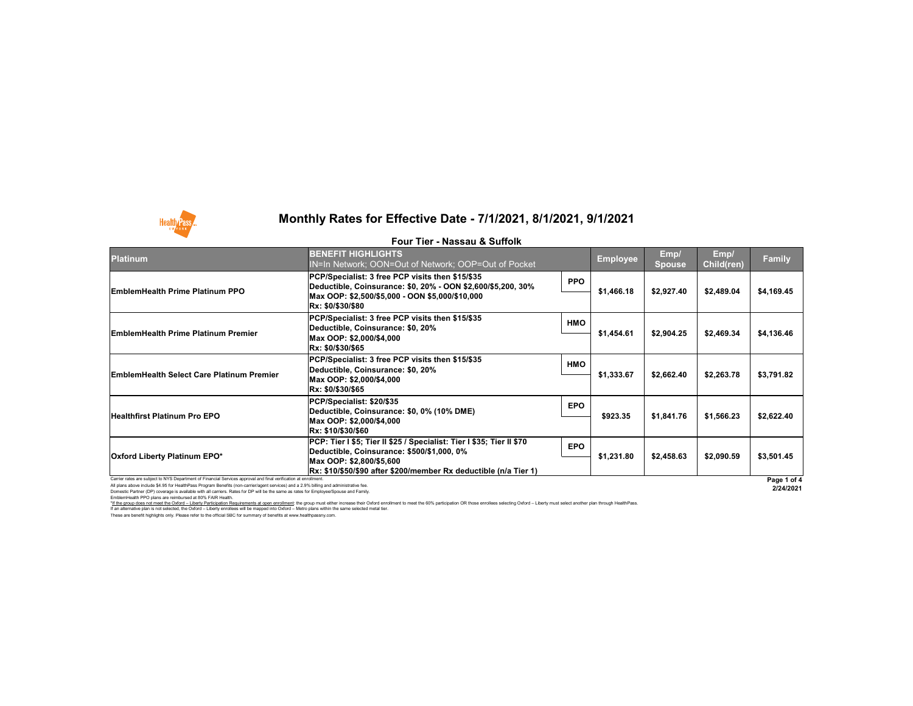All plans above include \$4.95 for HealthPass Program Benefits (non-carrier/agent services) and a 2.9% billing and administrative fee. Domestic Partner (DP) coverage is available with all carriers. Rates for DP will be the same as rates for Employee/Spouse and Family.

EmblemHealth PPO plans are reimbursed at 80% FAIR Health.

I hese are benefit highlights only. Please refer to the official SBC for summary of benefits at www.healthpassny.com. \*If the group does not meet the Oxford - Liberty Participation Requirements at open enrollment: the group must either increase their Oxford enrollment to meet the 60% participation OR those enrollees selecting Oxford - Lib If an alternative plan is not selected, the Oxford – Liberty enrollees will be mapped into Oxford – Metro plans within the same selected metal tier.

### **Monthly Rates for Effective Date - 7/1/2021, 8/1/2021, 9/1/2021**



#### **Four Tier - Nassau & Suffolk**



|                                                                                                                 | Four Tier - Nassau & Suffolk                                                                                                                                                                                          |            |                 |                |                           |               |
|-----------------------------------------------------------------------------------------------------------------|-----------------------------------------------------------------------------------------------------------------------------------------------------------------------------------------------------------------------|------------|-----------------|----------------|---------------------------|---------------|
| <b>Platinum</b>                                                                                                 | <b>BENEFIT HIGHLIGHTS</b><br>IN=In Network; OON=Out of Network; OOP=Out of Pocket                                                                                                                                     |            | <b>Employee</b> | Emp/<br>Spouse | Emp/<br><b>Child(ren)</b> | <b>Family</b> |
| <b>EmblemHealth Prime Platinum PPO</b>                                                                          | PCP/Specialist: 3 free PCP visits then \$15/\$35<br> Deductible, Coinsurance: \$0, 20% - OON \$2,600/\$5,200, 30%<br> Max OOP: \$2,500/\$5,000 - OON \$5,000/\$10,000<br><b>Rx: \$0/\$30/\$80</b>                     | <b>PPO</b> | \$1,466.18      | \$2,927.40     | \$2,489.04                | \$4,169.45    |
| <b>EmblemHealth Prime Platinum Premier</b>                                                                      | <b>PCP/Specialist: 3 free PCP visits then \$15/\$35</b><br>Deductible, Coinsurance: \$0, 20%<br>Max OOP: \$2,000/\$4,000<br>Rx: \$0/\$30/\$65                                                                         | <b>HMO</b> | \$1,454.61      | \$2,904.25     | \$2,469.34                | \$4,136.46    |
| <b>EmblemHealth Select Care Platinum Premier</b>                                                                | PCP/Specialist: 3 free PCP visits then \$15/\$35<br>Deductible, Coinsurance: \$0, 20%<br>Max OOP: \$2,000/\$4,000<br> Rx: \$0/\$30/\$65                                                                               | <b>HMO</b> | \$1,333.67      | \$2,662.40     | \$2,263.78                | \$3,791.82    |
| <b>Healthfirst Platinum Pro EPO</b>                                                                             | PCP/Specialist: \$20/\$35<br>Deductible, Coinsurance: \$0, 0% (10% DME)<br>Max OOP: \$2,000/\$4,000<br>Rx: \$10/\$30/\$60                                                                                             | <b>EPO</b> | \$923.35        | \$1,841.76     | \$1,566.23                | \$2,622.40    |
| <b>Oxford Liberty Platinum EPO*</b>                                                                             | PCP: Tier I \$5; Tier II \$25 / Specialist: Tier I \$35; Tier II \$70<br> Deductible, Coinsurance: \$500/\$1,000, 0%<br>Max OOP: \$2,800/\$5,600<br> Rx: \$10/\$50/\$90 after \$200/member Rx deductible (n/a Tier 1) | <b>EPO</b> | \$1,231.80      | \$2,458.63     | \$2,090.59                | \$3,501.45    |
| Carrier rates are subject to NYS Department of Financial Services approval and final verification at enrollment |                                                                                                                                                                                                                       |            |                 |                |                           | Page 1 o      |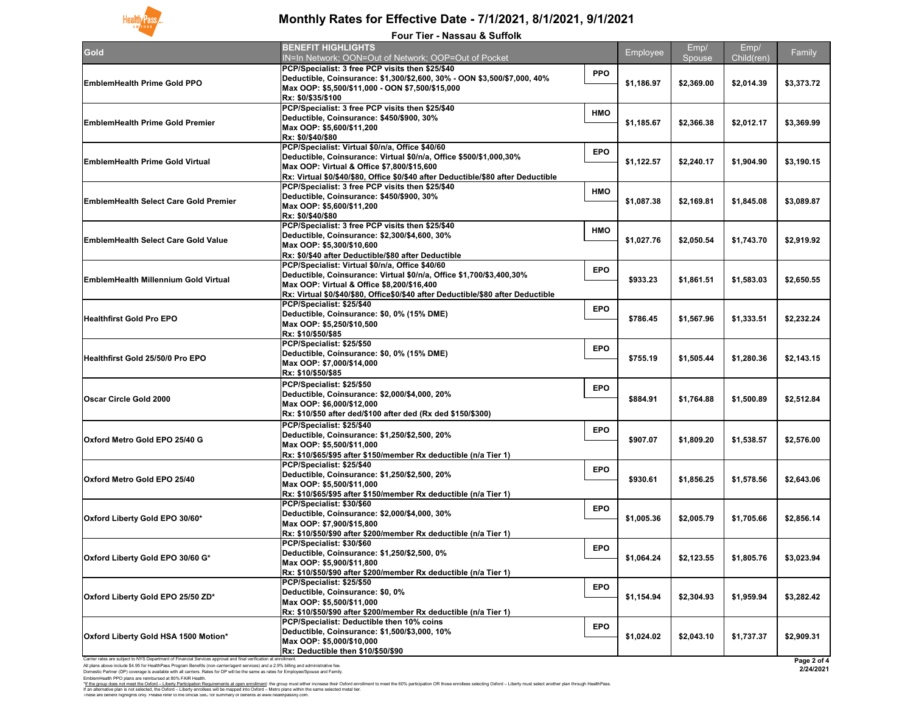Domestic Partner (DP) coverage is available with all carriers. Rates for DP will be the same as rates for Employee/Spouse and Family.



# **Monthly Rates for Effective Date - 7/1/2021, 8/1/2021, 9/1/2021**

EmblemHealth PPO plans are reimbursed at 80% FAIR Health. These are benefit highlights only. Please refer to the official SBC for summary of benefits at www.healthpassny.com. \*<u>If the group does not meet the Oxford – Liberty Participation Requirements at open enrollment</u>: the group must either increase their Oxford enrollment to meet the 60% participation OR those enrollees selecting Oxford – L If an alternative plan is not selected, the Oxford – Liberty enrollees will be mapped into Oxford – Metro plans within the same selected metal tier.

| <b>Four Tier - Nassau &amp; Suffolk</b>                                                                                                                                                                                                                                        |                                                                                   |            |            |            |            |             |  |
|--------------------------------------------------------------------------------------------------------------------------------------------------------------------------------------------------------------------------------------------------------------------------------|-----------------------------------------------------------------------------------|------------|------------|------------|------------|-------------|--|
| Gold                                                                                                                                                                                                                                                                           | <b>BENEFIT HIGHLIGHTS</b>                                                         |            | Employee   | Emp/       | Emp/       | Family      |  |
|                                                                                                                                                                                                                                                                                | IN=In Network; OON=Out of Network; OOP=Out of Pocket                              |            |            | Spouse     | Child(ren) |             |  |
|                                                                                                                                                                                                                                                                                | PCP/Specialist: 3 free PCP visits then \$25/\$40                                  | <b>PPO</b> |            |            |            |             |  |
| <b>EmblemHealth Prime Gold PPO</b>                                                                                                                                                                                                                                             | Deductible, Coinsurance: \$1,300/\$2,600, 30% - OON \$3,500/\$7,000, 40%          |            | \$1,186.97 | \$2,369.00 | \$2,014.39 | \$3,373.72  |  |
|                                                                                                                                                                                                                                                                                | Max OOP: \$5,500/\$11,000 - OON \$7,500/\$15,000                                  |            |            |            |            |             |  |
|                                                                                                                                                                                                                                                                                | Rx: \$0/\$35/\$100                                                                |            |            |            |            |             |  |
|                                                                                                                                                                                                                                                                                | PCP/Specialist: 3 free PCP visits then \$25/\$40                                  | <b>HMO</b> |            | \$2,366.38 |            |             |  |
| <b>EmblemHealth Prime Gold Premier</b>                                                                                                                                                                                                                                         | Deductible, Coinsurance: \$450/\$900, 30%                                         |            | \$1,185.67 |            | \$2,012.17 | \$3,369.99  |  |
|                                                                                                                                                                                                                                                                                | Max OOP: \$5,600/\$11,200                                                         |            |            |            |            |             |  |
|                                                                                                                                                                                                                                                                                | <b>Rx: \$0/\$40/\$80</b>                                                          |            |            |            |            |             |  |
| <b>EmblemHealth Prime Gold Virtual</b>                                                                                                                                                                                                                                         | <b>PCP/Specialist: Virtual \$0/n/a, Office \$40/60</b>                            |            |            | \$2,240.17 | \$1,904.90 |             |  |
|                                                                                                                                                                                                                                                                                | Deductible, Coinsurance: Virtual \$0/n/a, Office \$500/\$1,000,30%                | <b>EPO</b> | \$1,122.57 |            |            |             |  |
|                                                                                                                                                                                                                                                                                | Max OOP: Virtual & Office \$7,800/\$15,600                                        |            |            |            |            | \$3,190.15  |  |
|                                                                                                                                                                                                                                                                                | Rx: Virtual \$0/\$40/\$80, Office \$0/\$40 after Deductible/\$80 after Deductible |            |            |            |            |             |  |
|                                                                                                                                                                                                                                                                                | PCP/Specialist: 3 free PCP visits then \$25/\$40                                  |            |            | \$2,169.81 |            | \$3,089.87  |  |
|                                                                                                                                                                                                                                                                                | Deductible, Coinsurance: \$450/\$900, 30%                                         | <b>HMO</b> |            |            |            |             |  |
| <b>EmblemHealth Select Care Gold Premier</b>                                                                                                                                                                                                                                   | Max OOP: \$5,600/\$11,200                                                         |            | \$1,087.38 |            | \$1,845.08 |             |  |
|                                                                                                                                                                                                                                                                                | <b>Rx: \$0/\$40/\$80</b>                                                          |            |            |            |            |             |  |
|                                                                                                                                                                                                                                                                                | <b>PCP/Specialist: 3 free PCP visits then \$25/\$40</b>                           |            |            | \$2,050.54 |            | \$2,919.92  |  |
|                                                                                                                                                                                                                                                                                | Deductible, Coinsurance: \$2,300/\$4,600, 30%                                     | <b>HMO</b> |            |            |            |             |  |
| <b>EmblemHealth Select Care Gold Value</b>                                                                                                                                                                                                                                     | Max OOP: \$5,300/\$10,600                                                         |            | \$1,027.76 |            | \$1,743.70 |             |  |
|                                                                                                                                                                                                                                                                                | <b>Rx: \$0/\$40 after Deductible/\$80 after Deductible</b>                        |            |            |            |            |             |  |
|                                                                                                                                                                                                                                                                                | PCP/Specialist: Virtual \$0/n/a, Office \$40/60                                   |            |            | \$1,861.51 |            |             |  |
|                                                                                                                                                                                                                                                                                | Deductible, Coinsurance: Virtual \$0/n/a, Office \$1,700/\$3,400,30%              | <b>EPO</b> |            |            | \$1,583.03 | \$2,650.55  |  |
| <b>EmblemHealth Millennium Gold Virtual</b>                                                                                                                                                                                                                                    | Max OOP: Virtual & Office \$8,200/\$16,400                                        |            | \$933.23   |            |            |             |  |
|                                                                                                                                                                                                                                                                                | Rx: Virtual \$0/\$40/\$80, Office\$0/\$40 after Deductible/\$80 after Deductible  |            |            |            |            |             |  |
|                                                                                                                                                                                                                                                                                | PCP/Specialist: \$25/\$40                                                         |            | \$786.45   | \$1,567.96 | \$1,333.51 | \$2,232.24  |  |
|                                                                                                                                                                                                                                                                                | Deductible, Coinsurance: \$0, 0% (15% DME)                                        | <b>EPO</b> |            |            |            |             |  |
| <b>Healthfirst Gold Pro EPO</b>                                                                                                                                                                                                                                                | Max OOP: \$5,250/\$10,500                                                         |            |            |            |            |             |  |
|                                                                                                                                                                                                                                                                                | Rx: \$10/\$50/\$85                                                                |            |            |            |            |             |  |
|                                                                                                                                                                                                                                                                                | <b>PCP/Specialist: \$25/\$50</b>                                                  |            | \$755.19   | \$1,505.44 | \$1,280.36 | \$2,143.15  |  |
|                                                                                                                                                                                                                                                                                | Deductible, Coinsurance: \$0, 0% (15% DME)                                        | <b>EPO</b> |            |            |            |             |  |
| Healthfirst Gold 25/50/0 Pro EPO                                                                                                                                                                                                                                               | Max OOP: \$7,000/\$14,000                                                         |            |            |            |            |             |  |
|                                                                                                                                                                                                                                                                                | <b>Rx: \$10/\$50/\$85</b>                                                         |            |            |            |            |             |  |
|                                                                                                                                                                                                                                                                                | PCP/Specialist: \$25/\$50                                                         |            |            | \$1,764.88 |            |             |  |
|                                                                                                                                                                                                                                                                                | Deductible, Coinsurance: \$2,000/\$4,000, 20%                                     | <b>EPO</b> |            |            |            | \$2,512.84  |  |
| <b>Oscar Circle Gold 2000</b>                                                                                                                                                                                                                                                  | Max OOP: \$6,000/\$12,000                                                         |            | \$884.91   |            | \$1,500.89 |             |  |
|                                                                                                                                                                                                                                                                                | Rx: \$10/\$50 after ded/\$100 after ded (Rx ded \$150/\$300)                      |            |            |            |            |             |  |
|                                                                                                                                                                                                                                                                                | <b>PCP/Specialist: \$25/\$40</b>                                                  |            |            | \$1,809.20 |            |             |  |
|                                                                                                                                                                                                                                                                                | Deductible, Coinsurance: \$1,250/\$2,500, 20%                                     | <b>EPO</b> | \$907.07   |            |            |             |  |
| <b>Oxford Metro Gold EPO 25/40 G</b>                                                                                                                                                                                                                                           | Max OOP: \$5,500/\$11,000                                                         |            |            |            | \$1,538.57 | \$2,576.00  |  |
|                                                                                                                                                                                                                                                                                | Rx: \$10/\$65/\$95 after \$150/member Rx deductible (n/a Tier 1)                  |            |            |            |            |             |  |
|                                                                                                                                                                                                                                                                                | PCP/Specialist: \$25/\$40                                                         |            |            |            |            |             |  |
|                                                                                                                                                                                                                                                                                | Deductible, Coinsurance: \$1,250/\$2,500, 20%                                     | <b>EPO</b> | \$930.61   |            |            |             |  |
| <b>Oxford Metro Gold EPO 25/40</b>                                                                                                                                                                                                                                             | Max OOP: \$5,500/\$11,000                                                         |            |            | \$1,856.25 | \$1,578.56 | \$2,643.06  |  |
|                                                                                                                                                                                                                                                                                | $Rx: $10/$65/$95 after $150/member Rx deductible (n/a Tier 1)$                    |            |            |            |            |             |  |
|                                                                                                                                                                                                                                                                                | PCP/Specialist: \$30/\$60                                                         |            |            |            |            |             |  |
| Oxford Liberty Gold EPO 30/60*                                                                                                                                                                                                                                                 | Deductible, Coinsurance: \$2,000/\$4,000, 30%                                     | <b>EPO</b> |            |            |            |             |  |
|                                                                                                                                                                                                                                                                                | Max OOP: \$7,900/\$15,800                                                         |            | \$1,005.36 | \$2,005.79 | \$1,705.66 | \$2,856.14  |  |
|                                                                                                                                                                                                                                                                                | $\overline{R}x$ : \$10/\$50/\$90 after \$200/member Rx deductible (n/a Tier 1)    |            |            |            |            |             |  |
| <b>Oxford Liberty Gold EPO 30/60 G*</b>                                                                                                                                                                                                                                        | PCP/Specialist: \$30/\$60                                                         |            | \$1,064.24 | \$2,123.55 |            | \$3,023.94  |  |
|                                                                                                                                                                                                                                                                                | Deductible, Coinsurance: \$1,250/\$2,500, 0%                                      | <b>EPO</b> |            |            |            |             |  |
|                                                                                                                                                                                                                                                                                | Max OOP: \$5,900/\$11,800                                                         |            |            |            | \$1,805.76 |             |  |
|                                                                                                                                                                                                                                                                                | $Rx: $10/$50/$90 after $200/member Rx deductible (n/a Tier 1)$                    |            |            |            |            |             |  |
|                                                                                                                                                                                                                                                                                | PCP/Specialist: \$25/\$50                                                         |            | \$1,154.94 | \$2,304.93 | \$1,959.94 |             |  |
|                                                                                                                                                                                                                                                                                | Deductible, Coinsurance: \$0, 0%                                                  | <b>EPO</b> |            |            |            | \$3,282.42  |  |
| Oxford Liberty Gold EPO 25/50 ZD*                                                                                                                                                                                                                                              | Max OOP: \$5,500/\$11,000                                                         |            |            |            |            |             |  |
|                                                                                                                                                                                                                                                                                | Rx: \$10/\$50/\$90 after \$200/member Rx deductible (n/a Tier 1)                  |            |            |            |            |             |  |
|                                                                                                                                                                                                                                                                                | <b>PCP/Specialist: Deductible then 10% coins</b>                                  |            |            |            |            |             |  |
|                                                                                                                                                                                                                                                                                | Deductible, Coinsurance: \$1,500/\$3,000, 10%                                     | <b>EPO</b> |            | \$2,043.10 | \$1,737.37 | \$2,909.31  |  |
| <b>Oxford Liberty Gold HSA 1500 Motion*</b>                                                                                                                                                                                                                                    | Max OOP: \$5,000/\$10,000                                                         |            | \$1,024.02 |            |            |             |  |
|                                                                                                                                                                                                                                                                                | <b>Rx: Deductible then \$10/\$50/\$90</b>                                         |            |            |            |            |             |  |
| Carrier rates are subject to NYS Department of Financial Services approval and final verification at enrollment                                                                                                                                                                |                                                                                   |            |            |            |            | Page 2 of 4 |  |
| All plans above include \$4.95 for HealthPass Program Benefits (non-carrier/agent services) and a 2.9% billing and administrative fee.<br>Domestic Partner (DP) coverage is available with all carriers. Rates for DP will be the same as rates for Employee/Spouse and Family |                                                                                   |            |            |            |            | 2/24/2021   |  |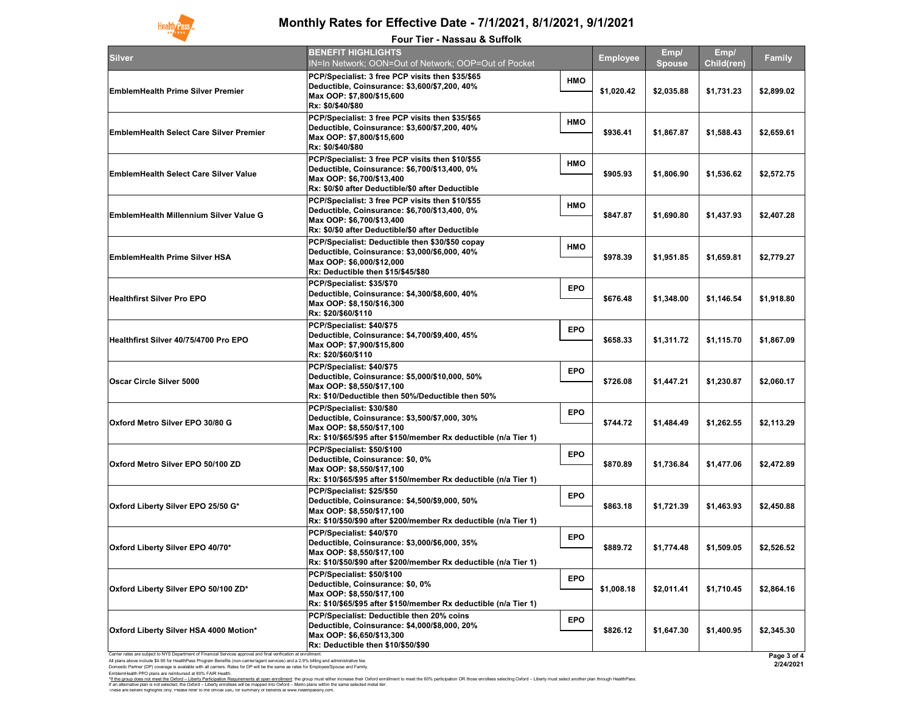Domestic Partner (DP) coverage is available with all carriers. Rates for DP will be the same as rates for Employee/Spouse and Family. EmblemHealth PPO plans are reimbursed at 80% FAIR Health.

| <b>BENEFIT HIGHLIGHTS</b><br>IN=In Network; OON=Out of Network; OOP=Out of Pocket                                                                                                   |                                                                                                                                      | <b>Employee</b> | Emp/<br><b>Spouse</b> | Emp/<br>Child(ren) | <b>Family</b> |
|-------------------------------------------------------------------------------------------------------------------------------------------------------------------------------------|--------------------------------------------------------------------------------------------------------------------------------------|-----------------|-----------------------|--------------------|---------------|
| PCP/Specialist: 3 free PCP visits then \$35/\$65<br>Deductible, Coinsurance: \$3,600/\$7,200, 40%<br>Max OOP: \$7,800/\$15,600<br>Rx: \$0/\$40/\$80                                 | <b>HMO</b>                                                                                                                           | \$1,020.42      | \$2,035.88            | \$1,731.23         | \$2,899.02    |
| PCP/Specialist: 3 free PCP visits then \$35/\$65<br>Deductible, Coinsurance: \$3,600/\$7,200, 40%<br>Max OOP: \$7,800/\$15,600<br>Rx: \$0/\$40/\$80                                 | <b>HMO</b>                                                                                                                           | \$936.41        | \$1,867.87            | \$1,588.43         | \$2,659.61    |
| PCP/Specialist: 3 free PCP visits then \$10/\$55<br>Deductible, Coinsurance: \$6,700/\$13,400, 0%<br>Max OOP: \$6,700/\$13,400<br>Rx: \$0/\$0 after Deductible/\$0 after Deductible | <b>HMO</b>                                                                                                                           | \$905.93        | \$1,806.90            | \$1,536.62         | \$2,572.75    |
| PCP/Specialist: 3 free PCP visits then \$10/\$55<br>Deductible, Coinsurance: \$6,700/\$13,400, 0%<br>Max OOP: \$6,700/\$13,400<br>Rx: \$0/\$0 after Deductible/\$0 after Deductible | <b>HMO</b>                                                                                                                           | \$847.87        | \$1,690.80            | \$1,437.93         | \$2,407.28    |
| PCP/Specialist: Deductible then \$30/\$50 copay<br>Deductible, Coinsurance: \$3,000/\$6,000, 40%<br>Max OOP: \$6,000/\$12,000                                                       | <b>HMO</b>                                                                                                                           | \$978.39        | \$1,951.85            | \$1,659.81         | \$2,779.27    |
| PCP/Specialist: \$35/\$70<br>Deductible, Coinsurance: \$4,300/\$8,600, 40%<br>Max OOP: \$8,150/\$16,300                                                                             | <b>EPO</b>                                                                                                                           | \$676.48        | \$1,348.00            | \$1,146.54         | \$1,918.80    |
| PCP/Specialist: \$40/\$75<br>Deductible, Coinsurance: \$4,700/\$9,400, 45%<br>Max OOP: \$7,900/\$15,800<br>Rx: \$20/\$60/\$110                                                      | <b>EPO</b>                                                                                                                           | \$658.33        | \$1,311.72            | \$1,115.70         | \$1,867.09    |
| PCP/Specialist: \$40/\$75<br>Deductible, Coinsurance: \$5,000/\$10,000, 50%<br>Max OOP: \$8,550/\$17,100<br>Rx: \$10/Deductible then 50%/Deductible then 50%                        | <b>EPO</b>                                                                                                                           | \$726.08        | \$1,447.21            | \$1,230.87         | \$2,060.17    |
| PCP/Specialist: \$30/\$80<br>Deductible, Coinsurance: \$3,500/\$7,000, 30%<br>Max OOP: \$8,550/\$17,100                                                                             | <b>EPO</b>                                                                                                                           | \$744.72        | \$1,484.49            | \$1,262.55         | \$2,113.29    |
| PCP/Specialist: \$50/\$100<br>Deductible, Coinsurance: \$0, 0%<br>Max OOP: \$8,550/\$17,100<br>Rx: \$10/\$65/\$95 after \$150/member Rx deductible (n/a Tier 1)                     | <b>EPO</b>                                                                                                                           | \$870.89        | \$1,736.84            | \$1,477.06         | \$2,472.89    |
| PCP/Specialist: \$25/\$50<br>Deductible, Coinsurance: \$4,500/\$9,000, 50%<br>Max OOP: \$8,550/\$17,100<br>Rx: \$10/\$50/\$90 after \$200/member Rx deductible (n/a Tier 1)         | <b>EPO</b>                                                                                                                           | \$863.18        | \$1,721.39            | \$1,463.93         | \$2,450.88    |
| PCP/Specialist: \$40/\$70<br>Deductible, Coinsurance: \$3,000/\$6,000, 35%<br>Max OOP: \$8,550/\$17,100<br>Rx: \$10/\$50/\$90 after \$200/member Rx deductible (n/a Tier 1)         | <b>EPO</b>                                                                                                                           | \$889.72        | \$1,774.48            | \$1,509.05         | \$2,526.52    |
| PCP/Specialist: \$50/\$100<br>Deductible, Coinsurance: \$0, 0%<br>Max OOP: \$8,550/\$17,100<br>Rx: \$10/\$65/\$95 after \$150/member Rx deductible (n/a Tier 1)                     | <b>EPO</b>                                                                                                                           | \$1,008.18      | \$2,011.41            | \$1,710.45         | \$2,864.16    |
| PCP/Specialist: Deductible then 20% coins<br>Deductible, Coinsurance: \$4,000/\$8,000, 20%                                                                                          | <b>EPO</b>                                                                                                                           |                 |                       | \$1,400.95         | \$2,345.30    |
|                                                                                                                                                                                     | <b>Rx: Deductible then \$15/\$45/\$80</b><br>Rx: \$20/\$60/\$110<br>Rx: \$10/\$65/\$95 after \$150/member Rx deductible (n/a Tier 1) |                 |                       |                    |               |



## **Monthly Rates for Effective Date - 7/1/2021, 8/1/2021, 9/1/2021**

#### **Four Tier - Nassau & Suffolk**

These are benefit highlights only. Please refer to the official SBC for summary of benefits at www.healthpassny.com. \*<u>If the group does not meet the Oxford – Liberty Participation Requirements at open enrollment</u>: the group must either increase their Oxford enrollment to meet the 60% participation OR those enrollees selecting Oxford – L If an alternative plan is not selected, the Oxford – Liberty enrollees will be mapped into Oxford – Metro plans within the same selected metal tier.